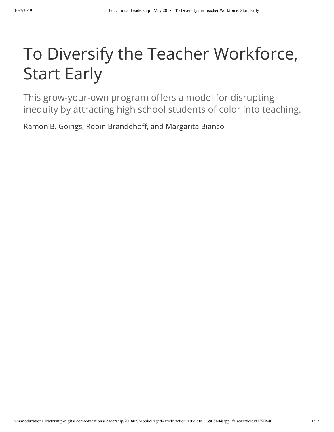### To Diversify the Teacher Workforce, Start Early

This grow-your-own program offers a model for disrupting inequity by attracting high school students of color into teaching.

Ramon B. Goings, Robin Brandehoff, and Margarita Bianco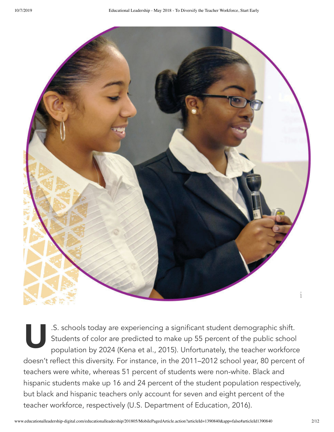

St<sub>pe</sub> st<sub>pe</sub> .S. schools today are experiencing a significant student demographic shift. Students of color are predicted to make up 55 percent of the public school population by 2024 (Kena et al., 2015). Unfortunately, the teacher workforce doesn't reflect this diversity. For instance, in the 2011–2012 school year, 80 percent of teachers were white, whereas 51 percent of students were non-white. Black and hispanic students make up 16 and 24 percent of the student population respectively, but black and hispanic teachers only account for seven and eight percent of the teacher workforce, respectively (U.S. Department of Education, 2016).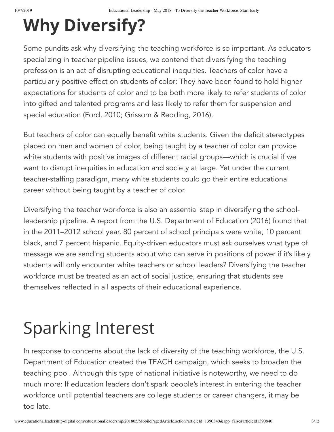# **Why Diversify?**

Some pundits ask why diversifying the teaching workforce is so important. As educators specializing in teacher pipeline issues, we contend that diversifying the teaching profession is an act of disrupting educational inequities. Teachers of color have a particularly positive effect on students of color: They have been found to hold higher expectations for students of color and to be both more likely to refer students of color into gifted and talented programs and less likely to refer them for suspension and special education (Ford, 2010; Grissom & Redding, 2016).

But teachers of color can equally benefit white students. Given the deficit stereotypes placed on men and women of color, being taught by a teacher of color can provide white students with positive images of different racial groups—which is crucial if we want to disrupt inequities in education and society at large. Yet under the current teacher-staffing paradigm, many white students could go their entire educational career without being taught by a teacher of color.

Diversifying the teacher workforce is also an essential step in diversifying the schoolleadership pipeline. A report from the U.S. Department of Education (2016) found that in the 2011–2012 school year, 80 percent of school principals were white, 10 percent black, and 7 percent hispanic. Equity-driven educators must ask ourselves what type of message we are sending students about who can serve in positions of power if it's likely students will only encounter white teachers or school leaders? Diversifying the teacher workforce must be treated as an act of social justice, ensuring that students see themselves reflected in all aspects of their educational experience.

# Sparking Interest

In response to concerns about the lack of diversity of the teaching workforce, the U.S. Department of Education created the TEACH campaign, which seeks to broaden the teaching pool. Although this type of national initiative is noteworthy, we need to do much more: If education leaders don't spark people's interest in entering the teacher workforce until potential teachers are college students or career changers, it may be too late.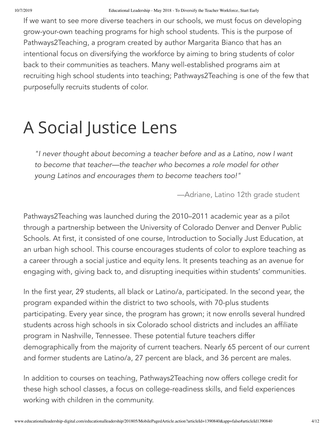If we want to see more diverse teachers in our schools, we must focus on developing grow-your-own teaching programs for high school students. This is the purpose of Pathways2Teaching, a program created by author Margarita Bianco that has an intentional focus on diversifying the workforce by aiming to bring students of color back to their communities as teachers. Many well-established programs aim at recruiting high school students into teaching; Pathways2Teaching is one of the few that purposefully recruits students of color.

## A Social Justice Lens

*"I never thought about becoming a teacher before and as a Latino, now I want to become that teacher—the teacher who becomes a role model for other young Latinos and encourages them to become teachers too!"*

—Adriane, Latino 12th grade student

Pathways2Teaching was launched during the 2010–2011 academic year as a pilot through a partnership between the University of Colorado Denver and Denver Public Schools. At first, it consisted of one course, Introduction to Socially Just Education, at an urban high school. This course encourages students of color to explore teaching as a career through a social justice and equity lens. It presents teaching as an avenue for engaging with, giving back to, and disrupting inequities within students' communities.

In the first year, 29 students, all black or Latino/a, participated. In the second year, the program expanded within the district to two schools, with 70-plus students participating. Every year since, the program has grown; it now enrolls several hundred students across high schools in six Colorado school districts and includes an affiliate program in Nashville, Tennessee. These potential future teachers differ demographically from the majority of current teachers. Nearly 65 percent of our current and former students are Latino/a, 27 percent are black, and 36 percent are males.

In addition to courses on teaching, Pathways2Teaching now offers college credit for these high school classes, a focus on college-readiness skills, and field experiences working with children in the community.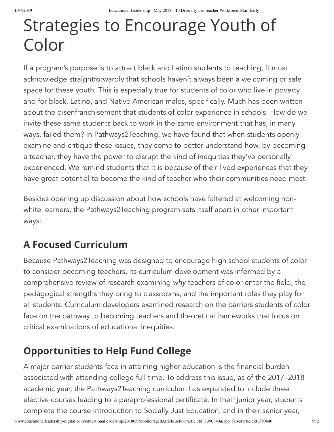## Strategies to Encourage Youth of Color

If a program's purpose is to attract black and Latino students to teaching, it must acknowledge straightforwardly that schools haven't always been a welcoming or safe space for these youth. This is especially true for students of color who live in poverty and for black, Latino, and Native American males, specifically. Much has been written about the disenfranchisement that students of color experience in schools. How do we invite these same students back to work in the same environment that has, in many ways, failed them? In Pathways2Teaching, we have found that when students openly examine and critique these issues, they come to better understand how, by becoming a teacher, they have the power to disrupt the kind of inequities they've personally experienced. We remind students that it is *because* of their lived experiences that they have great potential to become the kind of teacher who their communities need most.

Besides opening up discussion about how schools have faltered at welcoming nonwhite learners, the Pathways2Teaching program sets itself apart in other important ways:

### **A Focused Curriculum**

Because Pathways2Teaching was designed to encourage high school students of color to consider becoming teachers, its curriculum development was informed by a comprehensive review of research examining *why* teachers of color enter the field, the pedagogical strengths they bring to classrooms, and the important roles they play for all students. Curriculum developers examined research on the barriers students of color face on the pathway to becoming teachers and theoretical frameworks that focus on critical examinations of educational inequities.

### **Opportunities to Help Fund College**

A major barrier students face in attaining higher education is the financial burden associated with attending college full time. To address this issue, as of the 2017–2018 academic year, the Pathways2Teaching curriculum has expanded to include three elective courses leading to a paraprofessional certificate. In their junior year, students complete the course Introduction to Socially Just Education, and in their senior year,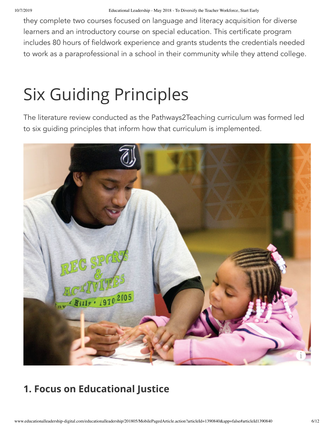they complete two courses focused on language and literacy acquisition for diverse learners and an introductory course on special education. This certificate program includes 80 hours of fieldwork experience and grants students the credentials needed to work as a paraprofessional in a school in their community while they attend college.

## Six Guiding Principles

The literature review conducted as the Pathways2Teaching curriculum was formed led to six guiding principles that inform how that curriculum is implemented.



### **1. Focus on Educational Justice**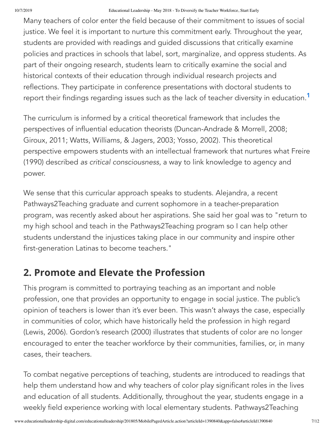Many teachers of color enter the field because of their commitment to issues of social justice. We feel it is important to nurture this commitment early. Throughout the year, students are provided with readings and guided discussions that critically examine policies and practices in schools that label, sort, marginalize, and oppress students. As part of their ongoing research, students learn to critically examine the social and historical contexts of their education through individual research projects and reflections. They participate in conference presentations with doctoral students to report their findings regarding issues such as the lack of teacher diversity in education. $^\mathsf{1}$  $^\mathsf{1}$  $^\mathsf{1}$ 

The curriculum is informed by a critical theoretical framework that includes the perspectives of influential education theorists (Duncan-Andrade & Morrell, 2008; Giroux, 2011; Watts, Williams, & Jagers, 2003; Yosso, 2002). This theoretical perspective empowers students with an intellectual framework that nurtures what Freire (1990) described *as critical consciousness*, a way to link knowledge to agency and power.

We sense that this curricular approach speaks to students. Alejandra, a recent Pathways2Teaching graduate and current sophomore in a teacher-preparation program, was recently asked about her aspirations. She said her goal was to "return to my high school and teach in the Pathways2Teaching program so I can help other students understand the injustices taking place in our community and inspire other first-generation Latinas to become teachers."

#### **2. Promote and Elevate the Profession**

This program is committed to portraying teaching as an important and noble profession, one that provides an opportunity to engage in social justice. The public's opinion of teachers is lower than it's ever been. This wasn't always the case, especially in communities of color, which have historically held the profession in high regard (Lewis, 2006). Gordon's research (2000) illustrates that students of color are no longer encouraged to enter the teacher workforce by their communities, families, or, in many cases, their teachers.

To combat negative perceptions of teaching, students are introduced to readings that help them understand how and why teachers of color play significant roles in the lives and education of all students. Additionally, throughout the year, students engage in a weekly field experience working with local elementary students. Pathways2Teaching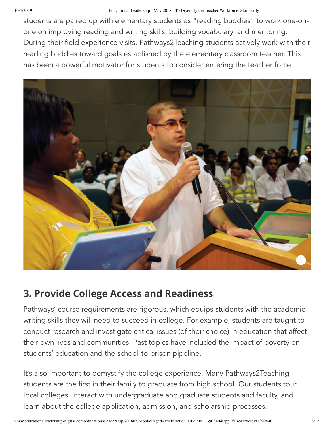students are paired up with elementary students as "reading buddies" to work one-onone on improving reading and writing skills, building vocabulary, and mentoring. During their field experience visits, Pathways2Teaching students actively work with their reading buddies toward goals established by the elementary classroom teacher. This has been a powerful motivator for students to consider entering the teacher force.



### **3. Provide College Access and Readiness**

Pathways' course requirements are rigorous, which equips students with the academic writing skills they will need to succeed in college. For example, students are taught to conduct research and investigate critical issues (of their choice) in education that affect their own lives and communities. Past topics have included the impact of poverty on students' education and the school-to-prison pipeline.

It's also important to demystify the college experience. Many Pathways2Teaching students are the first in their family to graduate from high school. Our students tour local colleges, interact with undergraduate and graduate students and faculty, and learn about the college application, admission, and scholarship processes.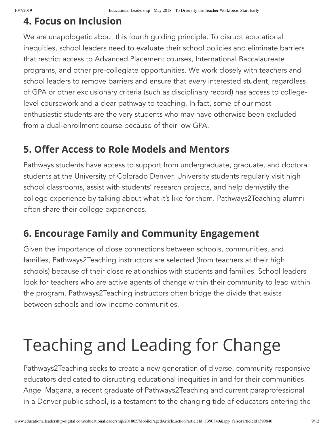#### **4. Focus on Inclusion**

We are unapologetic about this fourth guiding principle. To disrupt educational inequities, school leaders need to evaluate their school policies and eliminate barriers that restrict access to Advanced Placement courses, International Baccalaureate programs, and other pre-collegiate opportunities. We work closely with teachers and school leaders to remove barriers and ensure that *every* interested student, regardless of GPA or other exclusionary criteria (such as disciplinary record) has access to collegelevel coursework and a clear pathway to teaching. In fact, some of our most enthusiastic students are the very students who may have otherwise been excluded from a dual-enrollment course because of their low GPA.

### **5. Oer Access to Role Models and Mentors**

Pathways students have access to support from undergraduate, graduate, and doctoral students at the University of Colorado Denver. University students regularly visit high school classrooms, assist with students' research projects, and help demystify the college experience by talking about what it's like for them. Pathways2Teaching alumni often share their college experiences.

### **6. Encourage Family and Community Engagement**

Given the importance of close connections between schools, communities, and families, Pathways2Teaching instructors are selected (from teachers at their high schools) because of their close relationships with students and families. School leaders look for teachers who are active agents of change within their community to lead within the program. Pathways2Teaching instructors often bridge the divide that exists between schools and low-income communities.

# Teaching and Leading for Change

Pathways2Teaching seeks to create a new generation of diverse, community-responsive educators dedicated to disrupting educational inequities in and for their communities. Angel Magana, a recent graduate of Pathways2Teaching and current paraprofessional in a Denver public school, is a testament to the changing tide of educators entering the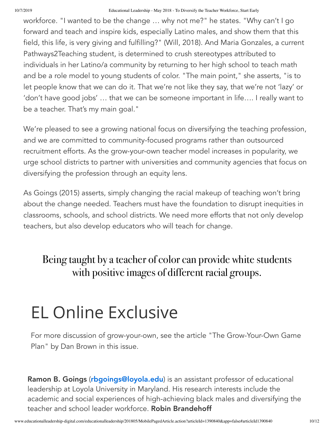workforce. "I wanted to be the change … why not me?" he states. "Why can't I go forward and teach and inspire kids, especially Latino males, and show them that this field, this life, is very giving and fulfilling?" (Will, 2018). And Maria Gonzales, a current Pathways2Teaching student, is determined to crush stereotypes attributed to individuals in her Latino/a community by returning to her high school to teach math and be a role model to young students of color. "The main point," she asserts, "is to let people know that we can do it. That we're not like they say, that we're not 'lazy' or 'don't have good jobs' … that we can be someone important in life…. I really want to be a teacher. That's my main goal."

We're pleased to see a growing national focus on diversifying the teaching profession, and we are committed to community-focused programs rather than outsourced recruitment efforts. As the grow-your-own teacher model increases in popularity, we urge school districts to partner with universities and community agencies that focus on diversifying the profession through an equity lens.

As Goings (2015) asserts, simply changing the racial makeup of teaching won't bring about the change needed. Teachers must have the foundation to disrupt inequities in classrooms, schools, and school districts. We need more efforts that not only develop teachers, but also develop educators who will teach for change.

Being taught by a teacher of color can provide white students with positive images of different racial groups.

### EL Online Exclusive

For more discussion of grow-your-own, see the article "The Grow-Your-Own Game Plan" by Dan Brown in this issue.

Ramon B. Goings ([rbgoings@loyola.edu](mailto:rbgoings@loyola.edu)) is an assistant professor of educational leadership at Loyola University in Maryland. His research interests include the academic and social experiences of high-achieving black males and diversifying the teacher and school leader workforce. **Robin Brandehoff**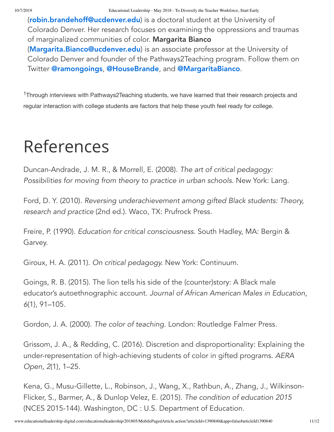([robin.brandehoff@ucdenver.edu](mailto:robin.brandehoff@ucdenver.edu)) is a doctoral student at the University of Colorado Denver. Her research focuses on examining the oppressions and traumas of marginalized communities of color. Margarita Bianco ([Margarita.Bianco@ucdenver.edu](mailto:Margarita.Bianco@ucdenver.edu)) is an associate professor at the University of Colorado Denver and founder of the Pathways2Teaching program. Follow them on Twitter [@ramongoings](http://twitter.com/ramongoings), [@HouseBrande](http://twitter.com/HouseBrande), and [@MargaritaBianco](http://twitter.com/MargaritaBianco).

<span id="page-10-0"></span><sup>1</sup>Through interviews with Pathways2Teaching students, we have learned that their research projects and regular interaction with college students are factors that help these youth feel ready for college.

### References

Duncan-Andrade, J. M. R., & Morrell, E. (2008). *The art of critical pedagogy: Possibilities for moving from theory to practice in urban schools*. New York: Lang.

Ford, D. Y. (2010). *Reversing underachievement among gifted Black students: Theory, research and practice* (2nd ed.). Waco, TX: Prufrock Press.

Freire, P. (1990). *Education for critical consciousness*. South Hadley, MA: Bergin & Garvey.

Giroux, H. A. (2011). *On critical pedagogy.* New York: Continuum.

Goings, R. B. (2015). The lion tells his side of the (counter)story: A Black male educator's autoethnographic account. *Journal of African American Males in Education, 6*(1), 91–105.

Gordon, J. A. (2000). *The color of teaching*. London: Routledge Falmer Press.

Grissom, J. A., & Redding, C. (2016). Discretion and disproportionality: Explaining the under-representation of high-achieving students of color in gifted programs. *AERA Open, 2*(1), 1–25.

Kena, G., Musu-Gillette, L., Robinson, J., Wang, X., Rathbun, A., Zhang, J., Wilkinson-Flicker, S., Barmer, A., & Dunlop Velez, E. (2015). *The condition of education 2015* (NCES 2015-144). Washington, DC : U.S. Department of Education.